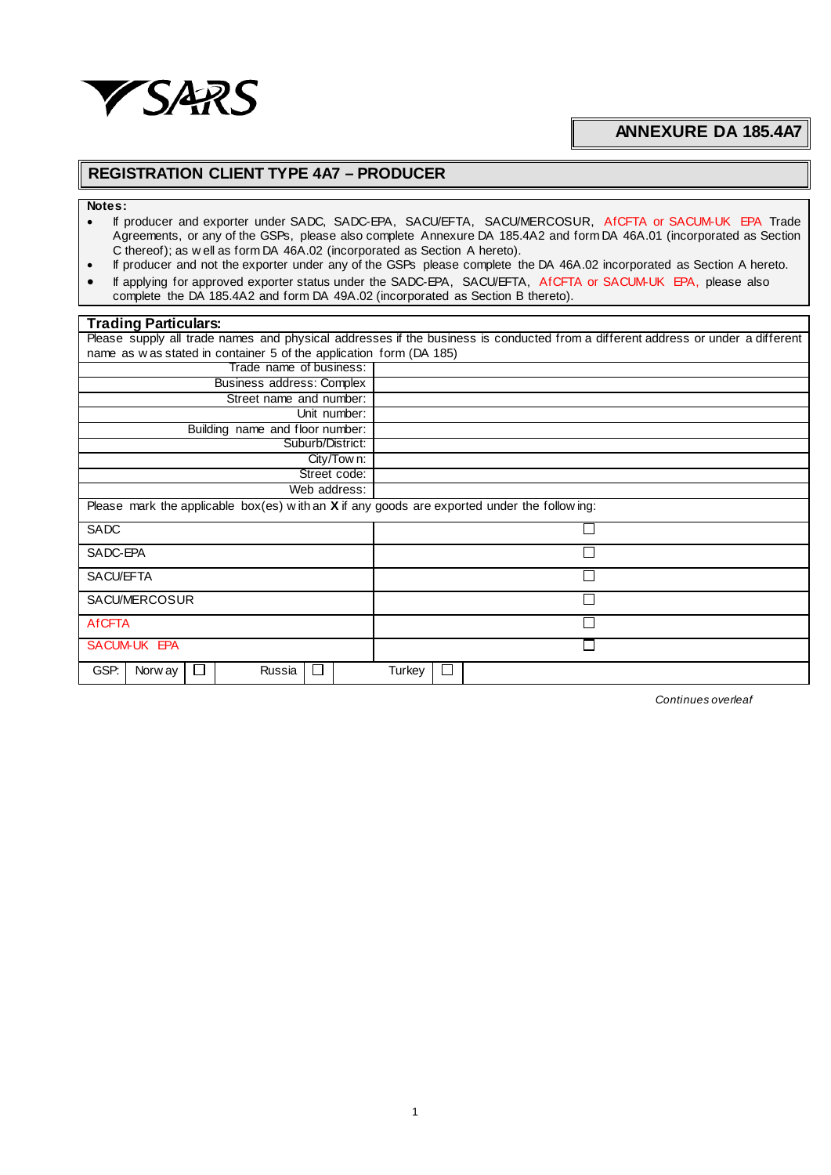

## **ANNEXURE DA 185.4A7**

## **REGISTRATION CLIENT TYPE 4A7 – PRODUCER**

## **Notes:**

- If producer and exporter under SADC, SADC-EPA, SACU/EFTA, SACU/MERCOSUR, AfCFTA or SACUM-UK EPA Trade Agreements, or any of the GSPs, please also complete Annexure DA 185.4A2 and form DA 46A.01 (incorporated as Section C thereof); as w ell as form DA 46A.02 (incorporated as Section A hereto).
- If producer and not the exporter under any of the GSPs please complete the DA 46A.02 incorporated as Section A hereto. • If applying for approved exporter status under the SADC-EPA, SACU/EFTA, AfCFTA or SACUM-UK EPA, please also
- complete the DA 185.4A2 and form DA 49A.02 (incorporated as Section B thereto).

| Trading Particulars:                                                                                                            |        |  |  |  |  |  |  |
|---------------------------------------------------------------------------------------------------------------------------------|--------|--|--|--|--|--|--|
| Please supply all trade names and physical addresses if the business is conducted from a different address or under a different |        |  |  |  |  |  |  |
| name as w as stated in container 5 of the application form (DA 185)                                                             |        |  |  |  |  |  |  |
| Trade name of business:                                                                                                         |        |  |  |  |  |  |  |
| Business address: Complex                                                                                                       |        |  |  |  |  |  |  |
| Street name and number:                                                                                                         |        |  |  |  |  |  |  |
| Unit number:                                                                                                                    |        |  |  |  |  |  |  |
| Building name and floor number:                                                                                                 |        |  |  |  |  |  |  |
| Suburb/District:                                                                                                                |        |  |  |  |  |  |  |
| City/Tow n:                                                                                                                     |        |  |  |  |  |  |  |
| Street code:                                                                                                                    |        |  |  |  |  |  |  |
| Web address:                                                                                                                    |        |  |  |  |  |  |  |
| Please mark the applicable box(es) with an X if any goods are exported under the following:                                     |        |  |  |  |  |  |  |
| SADC                                                                                                                            |        |  |  |  |  |  |  |
| SADC-EPA                                                                                                                        |        |  |  |  |  |  |  |
| SACU/EFTA                                                                                                                       | □      |  |  |  |  |  |  |
| SACU/MERCOSUR                                                                                                                   |        |  |  |  |  |  |  |
| <b>AfCFTA</b>                                                                                                                   |        |  |  |  |  |  |  |
| SACUM-UK EPA                                                                                                                    |        |  |  |  |  |  |  |
| GSP.<br>Russia<br>Norw ay<br>$\Box$<br>$\Box$                                                                                   | Turkey |  |  |  |  |  |  |

*Continues overleaf*